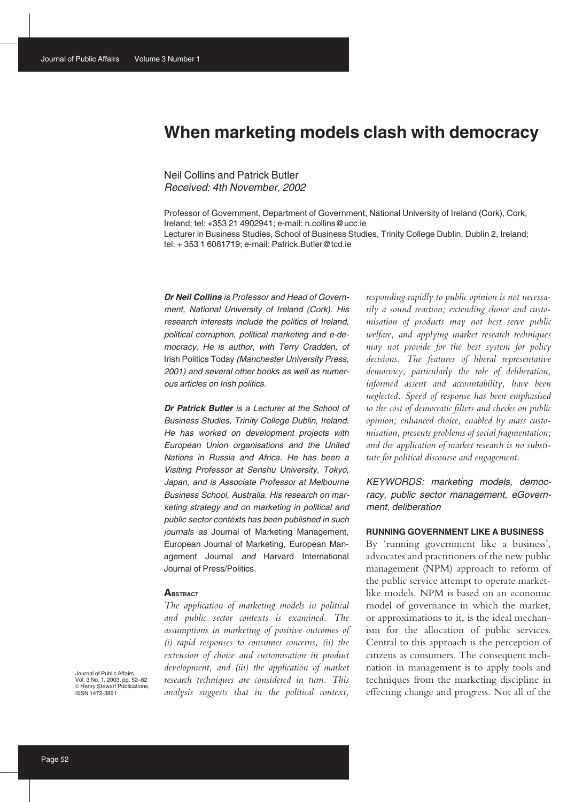# When marketing models clash with democracy

Neil Collins and Patrick Butler Received: 4th November, 2002

Professor of Government, Department of Government, National University of Ireland (Cork), Cork, Ireland; tel: +353 21 4902941; e-mail: n.collins@ucc.ie Lecturer in Business Studies, School of Business Studies, Trinity College Dublin, Dublin 2, Ireland; tel: + 353 1 6081719; e-mail: Patrick.Butler@tcd.ie

Dr Neil Collins is Professor and Head of Government, National University of Ireland (Cork). His research interests include the politics of Ireland, political corruption, political marketing and e-democracy. He is author, with Terry Cradden, of Irish Politics Today (Manchester University Press, 2001) and several other books as well as numerous articles on Irish politics.

Dr Patrick Butler is a Lecturer at the School of Business Studies, Trinity College Dublin, Ireland. He has worked on development projects with European Union organisations and the United Nations in Russia and Africa. He has been a Visiting Professor at Senshu University, Tokyo, Japan, and is Associate Professor at Melbourne Business School, Australia. His research on marketing strategy and on marketing in political and public sector contexts has been published in such journals as Journal of Marketing Management, European Journal of Marketing, European Management Journal and Harvard International Journal of Press/Politics.

#### **ABSTRACT**

The application of marketing models in political and public sector contexts is examined. The assumptions in marketing of positive outcomes of (i) rapid responses to consumer concerns, (ii) the extension of choice and customisation in product development, and (iii) the application of market research techniques are considered in turn. This analysis suggests that in the political context,

responding rapidly to public opinion is not necessarily a sound reaction; extending choice and customisation of products may not best serve public welfare, and applying market research techniques may not provide for the best system for policy decisions. The features of liberal representative democracy, particularly the role of deliberation, informed assent and accountability, have been neglected. Speed of response has been emphasised to the cost of democratic filters and checks on public opinion; enhanced choice, enabled by mass customisation, presents problems of social fragmentation; and the application of market research is no substitute for political discourse and engagement.

KEYWORDS: marketing models, democracy, public sector management, eGovernment, deliberation

## RUNNING GOVERNMENT LIKE A BUSINESS

By 'running government like a business', advocates and practitioners of the new public management (NPM) approach to reform of the public service attempt to operate marketlike models. NPM is based on an economic model of governance in which the market, or approximations to it, is the ideal mechanism for the allocation of public services. Central to this approach is the perception of citizens as consumers. The consequent inclination in management is to apply tools and techniques from the marketing discipline in effecting change and progress. Not all of the

Journal of Public Affairs Vol. 3 No. 1, 2003, pp. 52–62 & Henry Stewart Publications, ISSN 1472-3891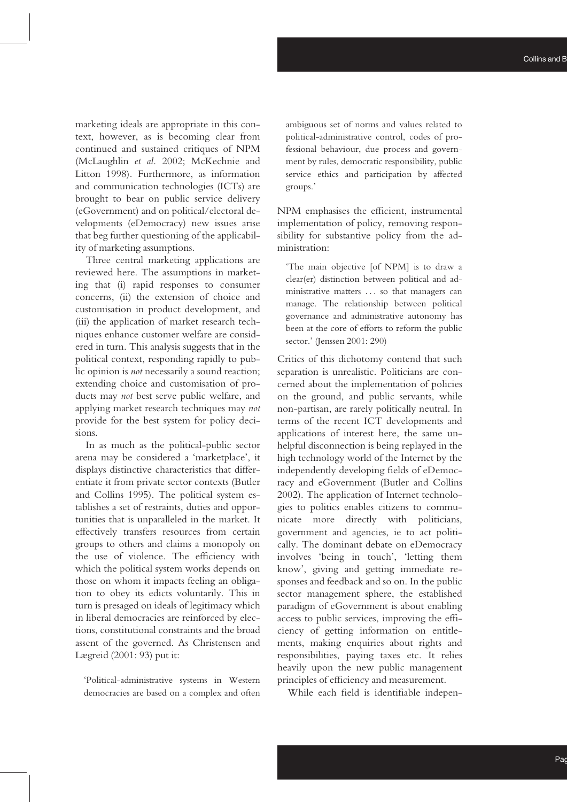marketing ideals are appropriate in this context, however, as is becoming clear from continued and sustained critiques of NPM (McLaughlin et al. 2002; McKechnie and Litton 1998). Furthermore, as information and communication technologies (ICTs) are brought to bear on public service delivery (eGovernment) and on political/electoral developments (eDemocracy) new issues arise that beg further questioning of the applicability of marketing assumptions.

Three central marketing applications are reviewed here. The assumptions in marketing that (i) rapid responses to consumer concerns, (ii) the extension of choice and customisation in product development, and (iii) the application of market research techniques enhance customer welfare are considered in turn. This analysis suggests that in the political context, responding rapidly to public opinion is not necessarily a sound reaction; extending choice and customisation of products may not best serve public welfare, and applying market research techniques may not provide for the best system for policy decisions.

In as much as the political-public sector arena may be considered a 'marketplace', it displays distinctive characteristics that differentiate it from private sector contexts (Butler and Collins 1995). The political system establishes a set of restraints, duties and opportunities that is unparalleled in the market. It effectively transfers resources from certain groups to others and claims a monopoly on the use of violence. The efficiency with which the political system works depends on those on whom it impacts feeling an obligation to obey its edicts voluntarily. This in turn is presaged on ideals of legitimacy which in liberal democracies are reinforced by elections, constitutional constraints and the broad assent of the governed. As Christensen and Lægreid (2001: 93) put it:

'Political-administrative systems in Western democracies are based on a complex and often

ambiguous set of norms and values related to political-administrative control, codes of professional behaviour, due process and government by rules, democratic responsibility, public service ethics and participation by affected groups.'

NPM emphasises the efficient, instrumental implementation of policy, removing responsibility for substantive policy from the administration:

'The main objective [of NPM] is to draw a clear(er) distinction between political and administrative matters ... so that managers can manage. The relationship between political governance and administrative autonomy has been at the core of efforts to reform the public sector.' (Jenssen 2001: 290)

Critics of this dichotomy contend that such separation is unrealistic. Politicians are concerned about the implementation of policies on the ground, and public servants, while non-partisan, are rarely politically neutral. In terms of the recent ICT developments and applications of interest here, the same unhelpful disconnection is being replayed in the high technology world of the Internet by the independently developing fields of eDemocracy and eGovernment (Butler and Collins 2002). The application of Internet technologies to politics enables citizens to communicate more directly with politicians, government and agencies, ie to act politically. The dominant debate on eDemocracy involves 'being in touch', 'letting them know', giving and getting immediate responses and feedback and so on. In the public sector management sphere, the established paradigm of eGovernment is about enabling access to public services, improving the efficiency of getting information on entitlements, making enquiries about rights and responsibilities, paying taxes etc. It relies heavily upon the new public management principles of efficiency and measurement.

While each field is identifiable indepen-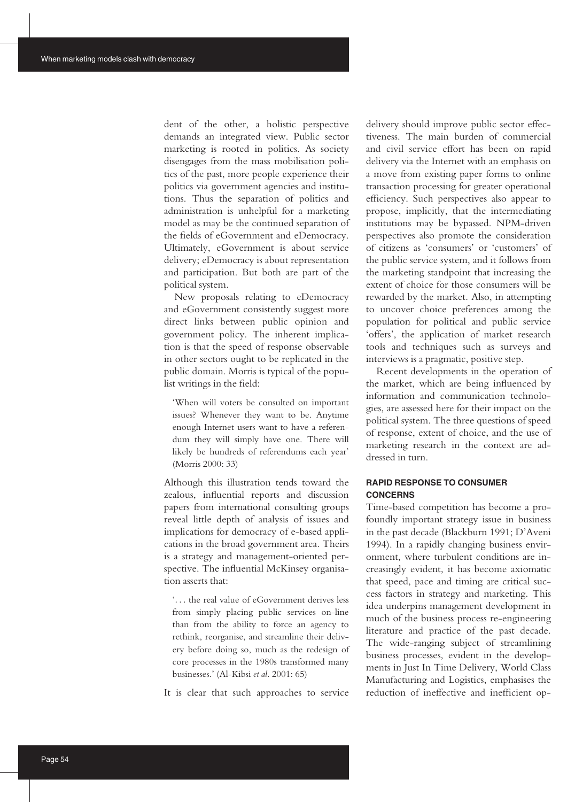dent of the other, a holistic perspective demands an integrated view. Public sector marketing is rooted in politics. As society disengages from the mass mobilisation politics of the past, more people experience their politics via government agencies and institutions. Thus the separation of politics and administration is unhelpful for a marketing model as may be the continued separation of the fields of eGovernment and eDemocracy. Ultimately, eGovernment is about service delivery; eDemocracy is about representation and participation. But both are part of the political system.

New proposals relating to eDemocracy and eGovernment consistently suggest more direct links between public opinion and government policy. The inherent implication is that the speed of response observable in other sectors ought to be replicated in the public domain. Morris is typical of the populist writings in the field:

'When will voters be consulted on important issues? Whenever they want to be. Anytime enough Internet users want to have a referendum they will simply have one. There will likely be hundreds of referendums each year' (Morris 2000: 33)

Although this illustration tends toward the zealous, influential reports and discussion papers from international consulting groups reveal little depth of analysis of issues and implications for democracy of e-based applications in the broad government area. Theirs is a strategy and management-oriented perspective. The influential McKinsey organisation asserts that:

'... the real value of eGovernment derives less from simply placing public services on-line than from the ability to force an agency to rethink, reorganise, and streamline their delivery before doing so, much as the redesign of core processes in the 1980s transformed many businesses.' (Al-Kibsi et al. 2001: 65)

It is clear that such approaches to service

delivery should improve public sector effectiveness. The main burden of commercial and civil service effort has been on rapid delivery via the Internet with an emphasis on a move from existing paper forms to online transaction processing for greater operational efficiency. Such perspectives also appear to propose, implicitly, that the intermediating institutions may be bypassed. NPM-driven perspectives also promote the consideration of citizens as 'consumers' or 'customers' of the public service system, and it follows from the marketing standpoint that increasing the extent of choice for those consumers will be rewarded by the market. Also, in attempting to uncover choice preferences among the population for political and public service 'offers', the application of market research tools and techniques such as surveys and interviews is a pragmatic, positive step.

Recent developments in the operation of the market, which are being influenced by information and communication technologies, are assessed here for their impact on the political system. The three questions of speed of response, extent of choice, and the use of marketing research in the context are addressed in turn.

## RAPID RESPONSE TO CONSUMER **CONCERNS**

Time-based competition has become a profoundly important strategy issue in business in the past decade (Blackburn 1991; D'Aveni 1994). In a rapidly changing business environment, where turbulent conditions are increasingly evident, it has become axiomatic that speed, pace and timing are critical success factors in strategy and marketing. This idea underpins management development in much of the business process re-engineering literature and practice of the past decade. The wide-ranging subject of streamlining business processes, evident in the developments in Just In Time Delivery, World Class Manufacturing and Logistics, emphasises the reduction of ineffective and inefficient op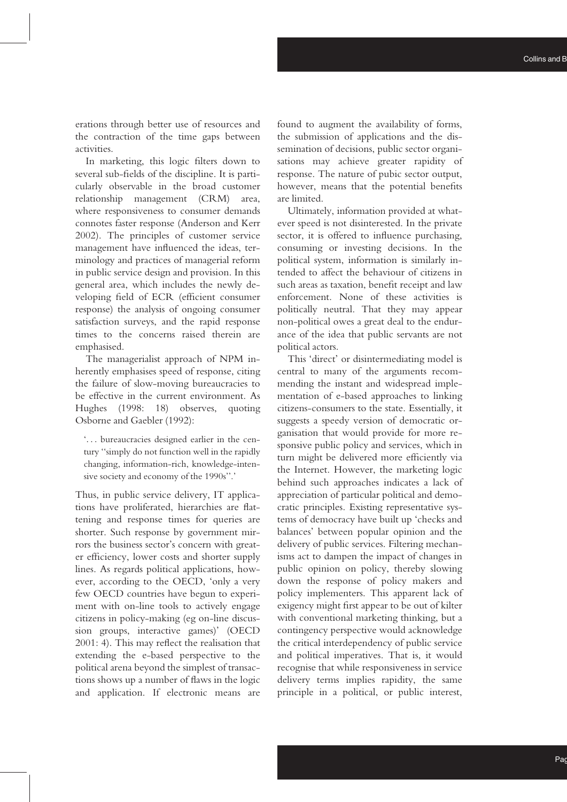erations through better use of resources and the contraction of the time gaps between activities.

In marketing, this logic filters down to several sub-fields of the discipline. It is particularly observable in the broad customer relationship management (CRM) area, where responsiveness to consumer demands connotes faster response (Anderson and Kerr 2002). The principles of customer service management have influenced the ideas, terminology and practices of managerial reform in public service design and provision. In this general area, which includes the newly developing field of ECR (efficient consumer response) the analysis of ongoing consumer satisfaction surveys, and the rapid response times to the concerns raised therein are emphasised.

The managerialist approach of NPM inherently emphasises speed of response, citing the failure of slow-moving bureaucracies to be effective in the current environment. As Hughes (1998: 18) observes, quoting Osborne and Gaebler (1992):

'... bureaucracies designed earlier in the century ''simply do not function well in the rapidly changing, information-rich, knowledge-intensive society and economy of the 1990s''.'

Thus, in public service delivery, IT applications have proliferated, hierarchies are flattening and response times for queries are shorter. Such response by government mirrors the business sector's concern with greater efficiency, lower costs and shorter supply lines. As regards political applications, however, according to the OECD, 'only a very few OECD countries have begun to experiment with on-line tools to actively engage citizens in policy-making (eg on-line discussion groups, interactive games)' (OECD 2001: 4). This may reflect the realisation that extending the e-based perspective to the political arena beyond the simplest of transactions shows up a number of flaws in the logic and application. If electronic means are

found to augment the availability of forms, the submission of applications and the dissemination of decisions, public sector organisations may achieve greater rapidity of response. The nature of pubic sector output, however, means that the potential benefits are limited.

Ultimately, information provided at whatever speed is not disinterested. In the private sector, it is offered to influence purchasing, consuming or investing decisions. In the political system, information is similarly intended to affect the behaviour of citizens in such areas as taxation, benefit receipt and law enforcement. None of these activities is politically neutral. That they may appear non-political owes a great deal to the endurance of the idea that public servants are not political actors.

This 'direct' or disintermediating model is central to many of the arguments recommending the instant and widespread implementation of e-based approaches to linking citizens-consumers to the state. Essentially, it suggests a speedy version of democratic organisation that would provide for more responsive public policy and services, which in turn might be delivered more efficiently via the Internet. However, the marketing logic behind such approaches indicates a lack of appreciation of particular political and democratic principles. Existing representative systems of democracy have built up 'checks and balances' between popular opinion and the delivery of public services. Filtering mechanisms act to dampen the impact of changes in public opinion on policy, thereby slowing down the response of policy makers and policy implementers. This apparent lack of exigency might first appear to be out of kilter with conventional marketing thinking, but a contingency perspective would acknowledge the critical interdependency of public service and political imperatives. That is, it would recognise that while responsiveness in service delivery terms implies rapidity, the same principle in a political, or public interest,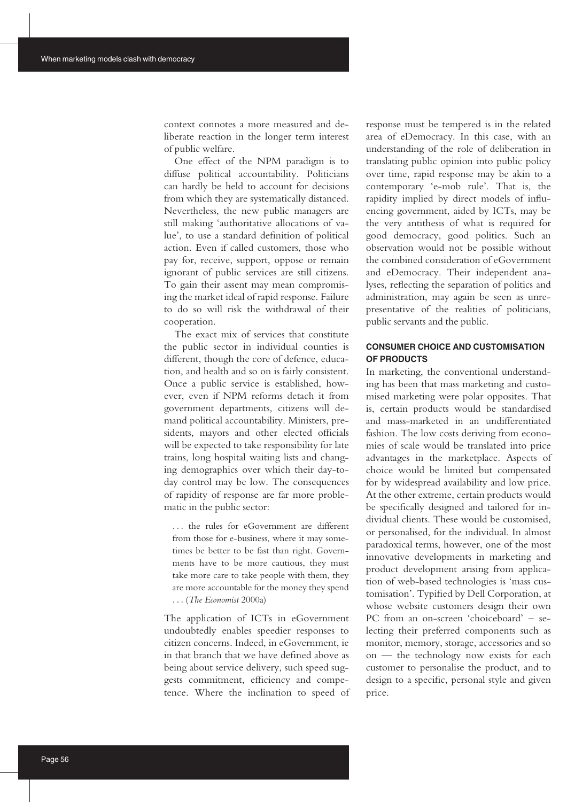context connotes a more measured and deliberate reaction in the longer term interest of public welfare.

One effect of the NPM paradigm is to diffuse political accountability. Politicians can hardly be held to account for decisions from which they are systematically distanced. Nevertheless, the new public managers are still making 'authoritative allocations of value', to use a standard definition of political action. Even if called customers, those who pay for, receive, support, oppose or remain ignorant of public services are still citizens. To gain their assent may mean compromising the market ideal of rapid response. Failure to do so will risk the withdrawal of their cooperation.

The exact mix of services that constitute the public sector in individual counties is different, though the core of defence, education, and health and so on is fairly consistent. Once a public service is established, however, even if NPM reforms detach it from government departments, citizens will demand political accountability. Ministers, presidents, mayors and other elected officials will be expected to take responsibility for late trains, long hospital waiting lists and changing demographics over which their day-today control may be low. The consequences of rapidity of response are far more problematic in the public sector:

... the rules for eGovernment are different from those for e-business, where it may sometimes be better to be fast than right. Governments have to be more cautious, they must take more care to take people with them, they are more accountable for the money they spend ... (The Economist 2000a)

The application of ICTs in eGovernment undoubtedly enables speedier responses to citizen concerns. Indeed, in eGovernment, ie in that branch that we have defined above as being about service delivery, such speed suggests commitment, efficiency and competence. Where the inclination to speed of response must be tempered is in the related area of eDemocracy. In this case, with an understanding of the role of deliberation in translating public opinion into public policy over time, rapid response may be akin to a contemporary 'e-mob rule'. That is, the rapidity implied by direct models of influencing government, aided by ICTs, may be the very antithesis of what is required for good democracy, good politics. Such an observation would not be possible without the combined consideration of eGovernment and eDemocracy. Their independent analyses, reflecting the separation of politics and administration, may again be seen as unrepresentative of the realities of politicians, public servants and the public.

## CONSUMER CHOICE AND CUSTOMISATION OF PRODUCTS

In marketing, the conventional understanding has been that mass marketing and customised marketing were polar opposites. That is, certain products would be standardised and mass-marketed in an undifferentiated fashion. The low costs deriving from economies of scale would be translated into price advantages in the marketplace. Aspects of choice would be limited but compensated for by widespread availability and low price. At the other extreme, certain products would be specifically designed and tailored for individual clients. These would be customised, or personalised, for the individual. In almost paradoxical terms, however, one of the most innovative developments in marketing and product development arising from application of web-based technologies is 'mass customisation'. Typified by Dell Corporation, at whose website customers design their own PC from an on-screen 'choiceboard' – selecting their preferred components such as monitor, memory, storage, accessories and so on — the technology now exists for each customer to personalise the product, and to design to a specific, personal style and given price.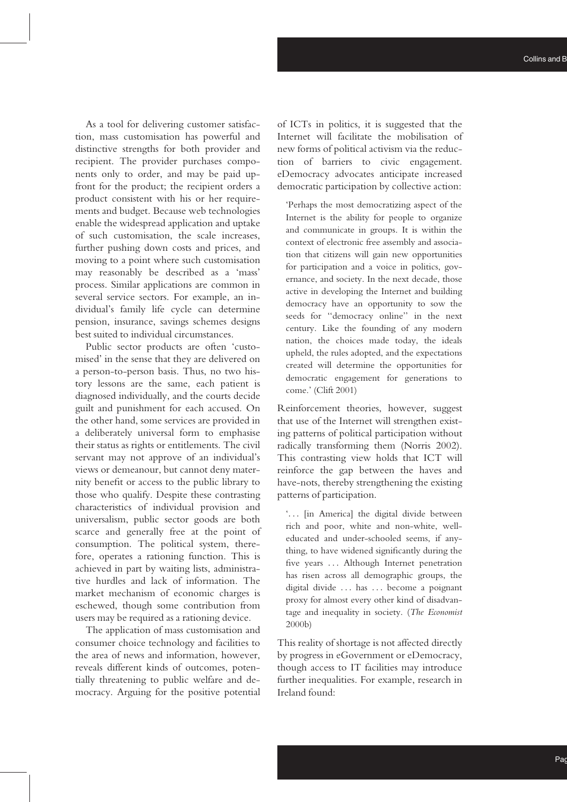As a tool for delivering customer satisfaction, mass customisation has powerful and distinctive strengths for both provider and recipient. The provider purchases components only to order, and may be paid upfront for the product; the recipient orders a product consistent with his or her requirements and budget. Because web technologies enable the widespread application and uptake of such customisation, the scale increases, further pushing down costs and prices, and moving to a point where such customisation may reasonably be described as a 'mass' process. Similar applications are common in several service sectors. For example, an individual's family life cycle can determine pension, insurance, savings schemes designs best suited to individual circumstances.

Public sector products are often 'customised' in the sense that they are delivered on a person-to-person basis. Thus, no two history lessons are the same, each patient is diagnosed individually, and the courts decide guilt and punishment for each accused. On the other hand, some services are provided in a deliberately universal form to emphasise their status as rights or entitlements. The civil servant may not approve of an individual's views or demeanour, but cannot deny maternity benefit or access to the public library to those who qualify. Despite these contrasting characteristics of individual provision and universalism, public sector goods are both scarce and generally free at the point of consumption. The political system, therefore, operates a rationing function. This is achieved in part by waiting lists, administrative hurdles and lack of information. The market mechanism of economic charges is eschewed, though some contribution from users may be required as a rationing device.

The application of mass customisation and consumer choice technology and facilities to the area of news and information, however, reveals different kinds of outcomes, potentially threatening to public welfare and democracy. Arguing for the positive potential

of ICTs in politics, it is suggested that the Internet will facilitate the mobilisation of new forms of political activism via the reduction of barriers to civic engagement. eDemocracy advocates anticipate increased democratic participation by collective action:

'Perhaps the most democratizing aspect of the Internet is the ability for people to organize and communicate in groups. It is within the context of electronic free assembly and association that citizens will gain new opportunities for participation and a voice in politics, governance, and society. In the next decade, those active in developing the Internet and building democracy have an opportunity to sow the seeds for ''democracy online'' in the next century. Like the founding of any modern nation, the choices made today, the ideals upheld, the rules adopted, and the expectations created will determine the opportunities for democratic engagement for generations to come.' (Clift 2001)

Reinforcement theories, however, suggest that use of the Internet will strengthen existing patterns of political participation without radically transforming them (Norris 2002). This contrasting view holds that ICT will reinforce the gap between the haves and have-nots, thereby strengthening the existing patterns of participation.

'... [in America] the digital divide between rich and poor, white and non-white, welleducated and under-schooled seems, if anything, to have widened significantly during the five years ... Although Internet penetration has risen across all demographic groups, the digital divide ... has ... become a poignant proxy for almost every other kind of disadvantage and inequality in society. (The Economist 2000b)

This reality of shortage is not affected directly by progress in eGovernment or eDemocracy, though access to IT facilities may introduce further inequalities. For example, research in Ireland found: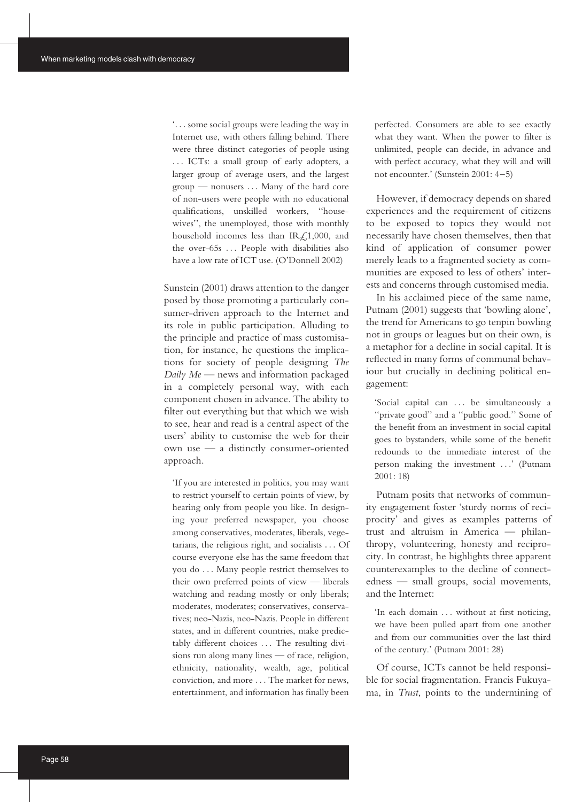'... some social groups were leading the way in Internet use, with others falling behind. There were three distinct categories of people using ... ICTs: a small group of early adopters, a larger group of average users, and the largest group — nonusers ... Many of the hard core of non-users were people with no educational qualifications, unskilled workers, ''housewives'', the unemployed, those with monthly household incomes less than IR $\mathcal{L}$ 1,000, and the over-65s ... People with disabilities also have a low rate of ICT use. (O'Donnell 2002)

Sunstein (2001) draws attention to the danger posed by those promoting a particularly consumer-driven approach to the Internet and its role in public participation. Alluding to the principle and practice of mass customisation, for instance, he questions the implications for society of people designing The Daily Me — news and information packaged in a completely personal way, with each component chosen in advance. The ability to filter out everything but that which we wish to see, hear and read is a central aspect of the users' ability to customise the web for their own use — a distinctly consumer-oriented approach.

'If you are interested in politics, you may want to restrict yourself to certain points of view, by hearing only from people you like. In designing your preferred newspaper, you choose among conservatives, moderates, liberals, vegetarians, the religious right, and socialists ... Of course everyone else has the same freedom that you do ... Many people restrict themselves to their own preferred points of view — liberals watching and reading mostly or only liberals; moderates, moderates; conservatives, conservatives; neo-Nazis, neo-Nazis. People in different states, and in different countries, make predictably different choices ... The resulting divisions run along many lines — of race, religion, ethnicity, nationality, wealth, age, political conviction, and more ... The market for news, entertainment, and information has finally been

perfected. Consumers are able to see exactly what they want. When the power to filter is unlimited, people can decide, in advance and with perfect accuracy, what they will and will not encounter.' (Sunstein 2001: 4–5)

However, if democracy depends on shared experiences and the requirement of citizens to be exposed to topics they would not necessarily have chosen themselves, then that kind of application of consumer power merely leads to a fragmented society as communities are exposed to less of others' interests and concerns through customised media.

In his acclaimed piece of the same name, Putnam (2001) suggests that 'bowling alone', the trend for Americans to go tenpin bowling not in groups or leagues but on their own, is a metaphor for a decline in social capital. It is reflected in many forms of communal behaviour but crucially in declining political engagement:

'Social capital can ... be simultaneously a ''private good'' and a ''public good.'' Some of the benefit from an investment in social capital goes to bystanders, while some of the benefit redounds to the immediate interest of the person making the investment ...' (Putnam 2001: 18)

Putnam posits that networks of community engagement foster 'sturdy norms of reciprocity' and gives as examples patterns of trust and altruism in America — philanthropy, volunteering, honesty and reciprocity. In contrast, he highlights three apparent counterexamples to the decline of connectedness — small groups, social movements, and the Internet:

'In each domain ... without at first noticing, we have been pulled apart from one another and from our communities over the last third of the century.' (Putnam 2001: 28)

Of course, ICTs cannot be held responsible for social fragmentation. Francis Fukuyama, in Trust, points to the undermining of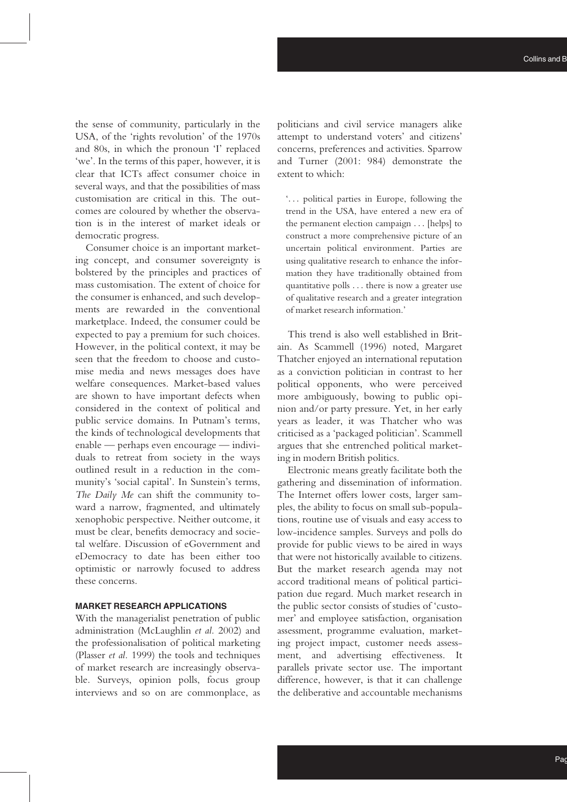the sense of community, particularly in the USA, of the 'rights revolution' of the 1970s and 80s, in which the pronoun 'I' replaced 'we'. In the terms of this paper, however, it is clear that ICTs affect consumer choice in several ways, and that the possibilities of mass customisation are critical in this. The outcomes are coloured by whether the observation is in the interest of market ideals or democratic progress.

Consumer choice is an important marketing concept, and consumer sovereignty is bolstered by the principles and practices of mass customisation. The extent of choice for the consumer is enhanced, and such developments are rewarded in the conventional marketplace. Indeed, the consumer could be expected to pay a premium for such choices. However, in the political context, it may be seen that the freedom to choose and customise media and news messages does have welfare consequences. Market-based values are shown to have important defects when considered in the context of political and public service domains. In Putnam's terms, the kinds of technological developments that enable — perhaps even encourage — individuals to retreat from society in the ways outlined result in a reduction in the community's 'social capital'. In Sunstein's terms, The Daily Me can shift the community toward a narrow, fragmented, and ultimately xenophobic perspective. Neither outcome, it must be clear, benefits democracy and societal welfare. Discussion of eGovernment and eDemocracy to date has been either too optimistic or narrowly focused to address these concerns.

## MARKET RESEARCH APPLICATIONS

With the managerialist penetration of public administration (McLaughlin et al. 2002) and the professionalisation of political marketing (Plasser et al. 1999) the tools and techniques of market research are increasingly observable. Surveys, opinion polls, focus group interviews and so on are commonplace, as

politicians and civil service managers alike attempt to understand voters' and citizens' concerns, preferences and activities. Sparrow and Turner (2001: 984) demonstrate the extent to which:

'... political parties in Europe, following the trend in the USA, have entered a new era of the permanent election campaign ... [helps] to construct a more comprehensive picture of an uncertain political environment. Parties are using qualitative research to enhance the information they have traditionally obtained from quantitative polls ... there is now a greater use of qualitative research and a greater integration of market research information.'

This trend is also well established in Britain. As Scammell (1996) noted, Margaret Thatcher enjoyed an international reputation as a conviction politician in contrast to her political opponents, who were perceived more ambiguously, bowing to public opinion and/or party pressure. Yet, in her early years as leader, it was Thatcher who was criticised as a 'packaged politician'. Scammell argues that she entrenched political marketing in modern British politics.

Electronic means greatly facilitate both the gathering and dissemination of information. The Internet offers lower costs, larger samples, the ability to focus on small sub-populations, routine use of visuals and easy access to low-incidence samples. Surveys and polls do provide for public views to be aired in ways that were not historically available to citizens. But the market research agenda may not accord traditional means of political participation due regard. Much market research in the public sector consists of studies of 'customer' and employee satisfaction, organisation assessment, programme evaluation, marketing project impact, customer needs assessment, and advertising effectiveness. It parallels private sector use. The important difference, however, is that it can challenge the deliberative and accountable mechanisms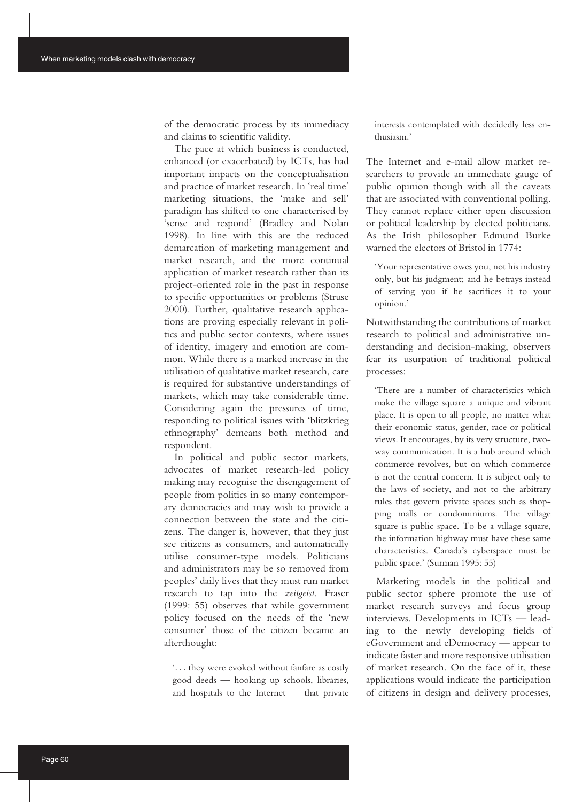of the democratic process by its immediacy and claims to scientific validity.

The pace at which business is conducted, enhanced (or exacerbated) by ICTs, has had important impacts on the conceptualisation and practice of market research. In 'real time' marketing situations, the 'make and sell' paradigm has shifted to one characterised by 'sense and respond' (Bradley and Nolan 1998). In line with this are the reduced demarcation of marketing management and market research, and the more continual application of market research rather than its project-oriented role in the past in response to specific opportunities or problems (Struse 2000). Further, qualitative research applications are proving especially relevant in politics and public sector contexts, where issues of identity, imagery and emotion are common. While there is a marked increase in the utilisation of qualitative market research, care is required for substantive understandings of markets, which may take considerable time. Considering again the pressures of time, responding to political issues with 'blitzkrieg ethnography' demeans both method and respondent.

In political and public sector markets, advocates of market research-led policy making may recognise the disengagement of people from politics in so many contemporary democracies and may wish to provide a connection between the state and the citizens. The danger is, however, that they just see citizens as consumers, and automatically utilise consumer-type models. Politicians and administrators may be so removed from peoples' daily lives that they must run market research to tap into the zeitgeist. Fraser (1999: 55) observes that while government policy focused on the needs of the 'new consumer' those of the citizen became an afterthought:

'... they were evoked without fanfare as costly good deeds — hooking up schools, libraries, and hospitals to the Internet — that private

interests contemplated with decidedly less enthusiasm.'

The Internet and e-mail allow market researchers to provide an immediate gauge of public opinion though with all the caveats that are associated with conventional polling. They cannot replace either open discussion or political leadership by elected politicians. As the Irish philosopher Edmund Burke warned the electors of Bristol in 1774:

'Your representative owes you, not his industry only, but his judgment; and he betrays instead of serving you if he sacrifices it to your opinion.'

Notwithstanding the contributions of market research to political and administrative understanding and decision-making, observers fear its usurpation of traditional political processes:

'There are a number of characteristics which make the village square a unique and vibrant place. It is open to all people, no matter what their economic status, gender, race or political views. It encourages, by its very structure, twoway communication. It is a hub around which commerce revolves, but on which commerce is not the central concern. It is subject only to the laws of society, and not to the arbitrary rules that govern private spaces such as shopping malls or condominiums. The village square is public space. To be a village square, the information highway must have these same characteristics. Canada's cyberspace must be public space.' (Surman 1995: 55)

Marketing models in the political and public sector sphere promote the use of market research surveys and focus group interviews. Developments in ICTs — leading to the newly developing fields of eGovernment and eDemocracy — appear to indicate faster and more responsive utilisation of market research. On the face of it, these applications would indicate the participation of citizens in design and delivery processes,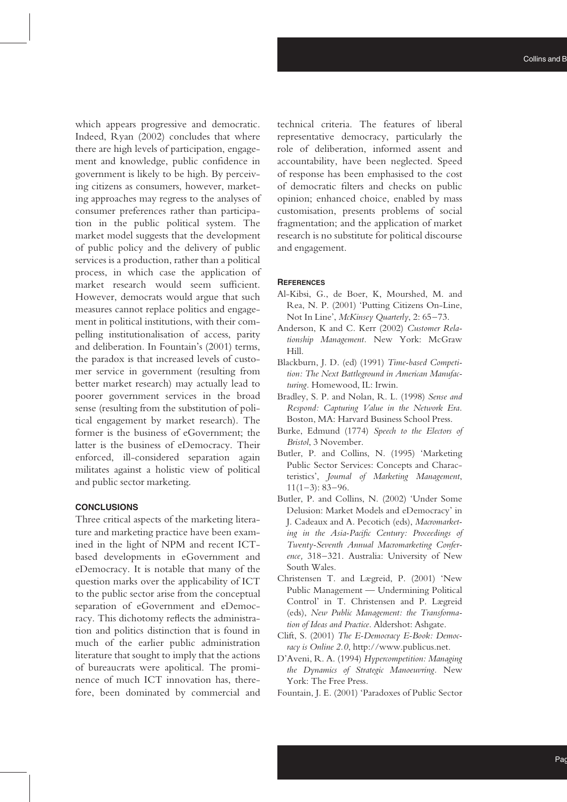which appears progressive and democratic. Indeed, Ryan (2002) concludes that where there are high levels of participation, engagement and knowledge, public confidence in government is likely to be high. By perceiving citizens as consumers, however, marketing approaches may regress to the analyses of consumer preferences rather than participation in the public political system. The market model suggests that the development of public policy and the delivery of public services is a production, rather than a political process, in which case the application of market research would seem sufficient. However, democrats would argue that such measures cannot replace politics and engagement in political institutions, with their compelling institutionalisation of access, parity and deliberation. In Fountain's (2001) terms, the paradox is that increased levels of customer service in government (resulting from better market research) may actually lead to poorer government services in the broad sense (resulting from the substitution of political engagement by market research). The former is the business of eGovernment; the latter is the business of eDemocracy. Their enforced, ill-considered separation again militates against a holistic view of political and public sector marketing.

## **CONCLUSIONS**

Three critical aspects of the marketing literature and marketing practice have been examined in the light of NPM and recent ICTbased developments in eGovernment and eDemocracy. It is notable that many of the question marks over the applicability of ICT to the public sector arise from the conceptual separation of eGovernment and eDemocracy. This dichotomy reflects the administration and politics distinction that is found in much of the earlier public administration literature that sought to imply that the actions of bureaucrats were apolitical. The prominence of much ICT innovation has, therefore, been dominated by commercial and

technical criteria. The features of liberal representative democracy, particularly the role of deliberation, informed assent and accountability, have been neglected. Speed of response has been emphasised to the cost of democratic filters and checks on public opinion; enhanced choice, enabled by mass customisation, presents problems of social fragmentation; and the application of market research is no substitute for political discourse and engagement.

#### **REFERENCES**

- Al-Kibsi, G., de Boer, K, Mourshed, M. and Rea, N. P. (2001) 'Putting Citizens On-Line, Not In Line', McKinsey Quarterly, 2: 65–73.
- Anderson, K and C. Kerr (2002) Customer Relationship Management. New York: McGraw Hill.
- Blackburn, J. D. (ed) (1991) Time-based Competition: The Next Battleground in American Manufacturing. Homewood, IL: Irwin.
- Bradley, S. P. and Nolan, R. L. (1998) Sense and Respond: Capturing Value in the Network Era. Boston, MA: Harvard Business School Press.
- Burke, Edmund (1774) Speech to the Electors of Bristol, 3 November.
- Butler, P. and Collins, N. (1995) 'Marketing Public Sector Services: Concepts and Characteristics', Journal of Marketing Management,  $11(1-3): 83-96.$
- Butler, P. and Collins, N. (2002) 'Under Some Delusion: Market Models and eDemocracy' in J. Cadeaux and A. Pecotich (eds), Macromarketing in the Asia-Pacific Century: Proceedings of Twenty-Seventh Annual Macromarketing Conference, 318–321. Australia: University of New South Wales.
- Christensen T. and Lægreid, P. (2001) 'New Public Management — Undermining Political Control' in T. Christensen and P. Lægreid (eds), New Public Management: the Transformation of Ideas and Practice. Aldershot: Ashgate.
- Clift, S. (2001) The E-Democracy E-Book: Democracy is Online 2.0, http://www.publicus.net.
- D'Aveni, R. A. (1994) Hypercompetition: Managing the Dynamics of Strategic Manoeuvring. New York: The Free Press.
- Fountain, J. E. (2001) 'Paradoxes of Public Sector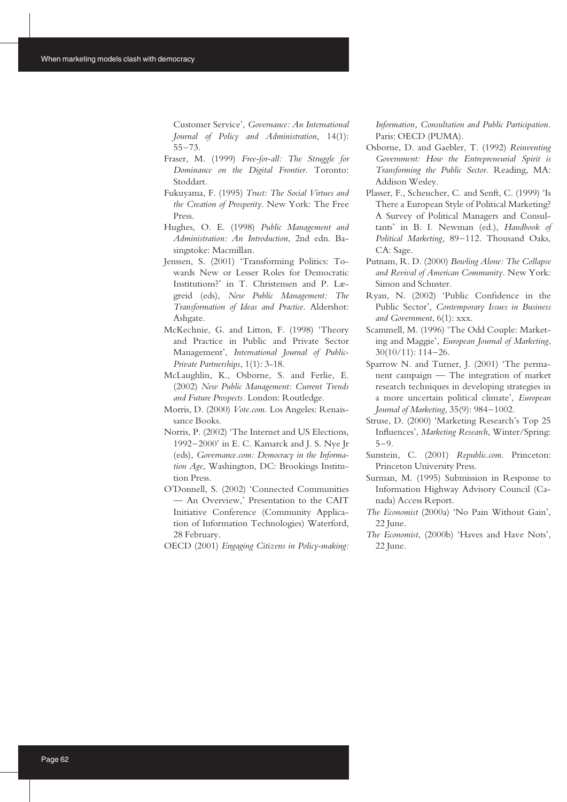Customer Service', Governance: An International Journal of Policy and Administration, 14(1): 55–73.

- Fraser, M. (1999) Free-for-all: The Struggle for Dominance on the Digital Frontier. Toronto: Stoddart.
- Fukuyama, F. (1995) Trust: The Social Virtues and the Creation of Prosperity. New York: The Free Press.
- Hughes, O. E. (1998) Public Management and Administration: An Introduction, 2nd edn. Basingstoke: Macmillan.
- Jenssen, S. (2001) 'Transforming Politics: Towards New or Lesser Roles for Democratic Institutions?' in T. Christensen and P. Lægreid (eds), New Public Management: The Transformation of Ideas and Practice. Aldershot: Ashgate.
- McKechnie, G. and Litton, F. (1998) 'Theory and Practice in Public and Private Sector Management', International Journal of Public-Private Partnerships, 1(1): 3-18.
- McLaughlin, K., Osborne, S. and Ferlie, E. (2002) New Public Management: Current Trends and Future Prospects. London: Routledge.
- Morris, D. (2000) Vote.com. Los Angeles: Renaissance Books.
- Norris, P. (2002) 'The Internet and US Elections, 1992–2000' in E. C. Kamarck and J. S. Nye Jr (eds), Governance.com: Democracy in the Information Age, Washington, DC: Brookings Institution Press.
- O'Donnell, S. (2002) 'Connected Communities — An Overview,' Presentation to the CAIT Initiative Conference (Community Application of Information Technologies) Waterford, 28 February.
- OECD (2001) Engaging Citizens in Policy-making:

Information, Consultation and Public Participation. Paris: OECD (PUMA).

- Osborne, D. and Gaebler, T. (1992) Reinventing Government: How the Entrepreneurial Spirit is Transforming the Public Sector. Reading, MA: Addison Wesley.
- Plasser, F., Scheucher, C. and Senft, C. (1999) 'Is There a European Style of Political Marketing? A Survey of Political Managers and Consultants' in B. I. Newman (ed.), Handbook of Political Marketing, 89–112. Thousand Oaks, CA: Sage.
- Putnam, R. D. (2000) Bowling Alone: The Collapse and Revival of American Community. New York: Simon and Schuster.
- Ryan, N. (2002) 'Public Confidence in the Public Sector', Contemporary Issues in Business and Government, 6(1): xxx.
- Scammell, M. (1996) 'The Odd Couple: Marketing and Maggie', European Journal of Marketing, 30(10/11): 114–26.
- Sparrow N. and Turner, J. (2001) 'The permanent campaign — The integration of market research techniques in developing strategies in a more uncertain political climate', European Journal of Marketing, 35(9): 984–1002.
- Struse, D. (2000) 'Marketing Research's Top 25 Influences', Marketing Research, Winter/Spring: 5–9.
- Sunstein, C. (2001) Republic.com. Princeton: Princeton University Press.
- Surman, M. (1995) Submission in Response to Information Highway Advisory Council (Canada) Access Report.
- The Economist (2000a) 'No Pain Without Gain', 22 June.
- The Economist, (2000b) 'Haves and Have Nots', 22 June.